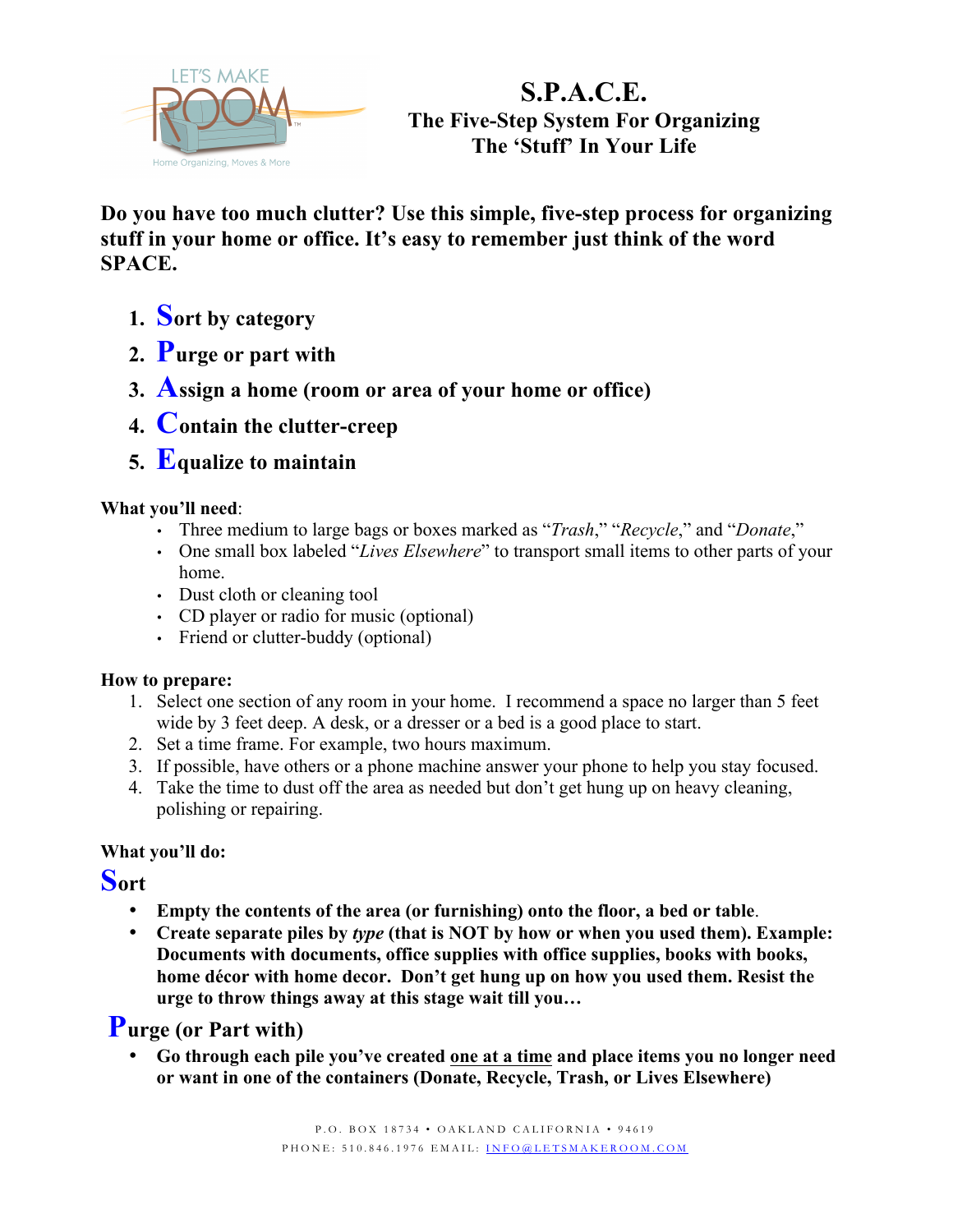

# **S.P.A.C.E. The Five-Step System For Organizing The 'Stuff' In Your Life**

**Do you have too much clutter? Use this simple, five-step process for organizing stuff in your home or office. It's easy to remember just think of the word SPACE.**

- **1. Sort by category**
- **2. Purge or part with**
- **3. Assign a home (room or area of your home or office)**
- **4. Contain the clutter-creep**
- **5. Equalize to maintain**

#### **What you'll need**:

- Three medium to large bags or boxes marked as "*Trash*," "*Recycle*," and "*Donate*,"
- One small box labeled "*Lives Elsewhere*" to transport small items to other parts of your home.
- Dust cloth or cleaning tool
- CD player or radio for music (optional)
- Friend or clutter-buddy (optional)

#### **How to prepare:**

- 1. Select one section of any room in your home. I recommend a space no larger than 5 feet wide by 3 feet deep. A desk, or a dresser or a bed is a good place to start.
- 2. Set a time frame. For example, two hours maximum.
- 3. If possible, have others or a phone machine answer your phone to help you stay focused.
- 4. Take the time to dust off the area as needed but don't get hung up on heavy cleaning, polishing or repairing.

#### **What you'll do:**

## **Sort**

- **Empty the contents of the area (or furnishing) onto the floor, a bed or table**.
- **Create separate piles by** *type* **(that is NOT by how or when you used them). Example: Documents with documents, office supplies with office supplies, books with books, home décor with home decor. Don't get hung up on how you used them. Resist the urge to throw things away at this stage wait till you…**

## **Purge (or Part with)**

• **Go through each pile you've created one at a time and place items you no longer need or want in one of the containers (Donate, Recycle, Trash, or Lives Elsewhere)**